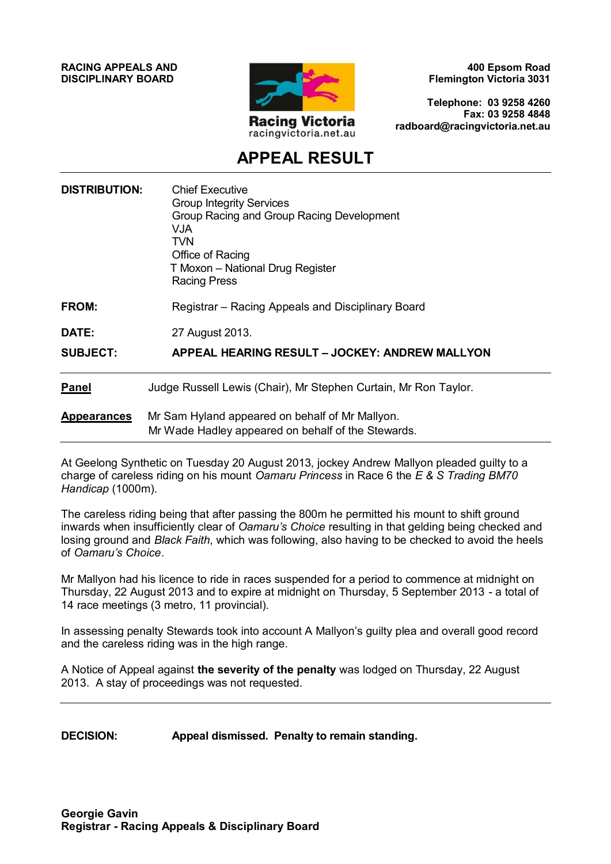**RACING APPEALS AND DISCIPLINARY BOARD**



**400 Epsom Road Flemington Victoria 3031**

**Telephone: 03 9258 4260 Fax: 03 9258 4848 radboard@racingvictoria.net.au**

## **APPEAL RESULT**

| <b>DISTRIBUTION:</b> | <b>Chief Executive</b><br><b>Group Integrity Services</b><br>Group Racing and Group Racing Development<br>VJA.<br><b>TVN</b><br>Office of Racing<br>T Moxon - National Drug Register<br><b>Racing Press</b> |
|----------------------|-------------------------------------------------------------------------------------------------------------------------------------------------------------------------------------------------------------|
| FROM:                | Registrar – Racing Appeals and Disciplinary Board                                                                                                                                                           |
| <b>DATE:</b>         | 27 August 2013.                                                                                                                                                                                             |
| <b>SUBJECT:</b>      | APPEAL HEARING RESULT - JOCKEY: ANDREW MALLYON                                                                                                                                                              |
| <b>Panel</b>         | Judge Russell Lewis (Chair), Mr Stephen Curtain, Mr Ron Taylor.                                                                                                                                             |
| <b>Appearances</b>   | Mr Sam Hyland appeared on behalf of Mr Mallyon.<br>Mr Wade Hadley appeared on behalf of the Stewards.                                                                                                       |

At Geelong Synthetic on Tuesday 20 August 2013, jockey Andrew Mallyon pleaded guilty to a charge of careless riding on his mount *Oamaru Princess* in Race 6 the *E & S Trading BM70 Handicap* (1000m).

The careless riding being that after passing the 800m he permitted his mount to shift ground inwards when insufficiently clear of *Oamaru's Choice* resulting in that gelding being checked and losing ground and *Black Faith*, which was following, also having to be checked to avoid the heels of *Oamaru's Choice*.

Mr Mallyon had his licence to ride in races suspended for a period to commence at midnight on Thursday, 22 August 2013 and to expire at midnight on Thursday, 5 September 2013 - a total of 14 race meetings (3 metro, 11 provincial).

In assessing penalty Stewards took into account A Mallyon's guilty plea and overall good record and the careless riding was in the high range.

A Notice of Appeal against **the severity of the penalty** was lodged on Thursday, 22 August 2013. A stay of proceedings was not requested.

**DECISION: Appeal dismissed. Penalty to remain standing.**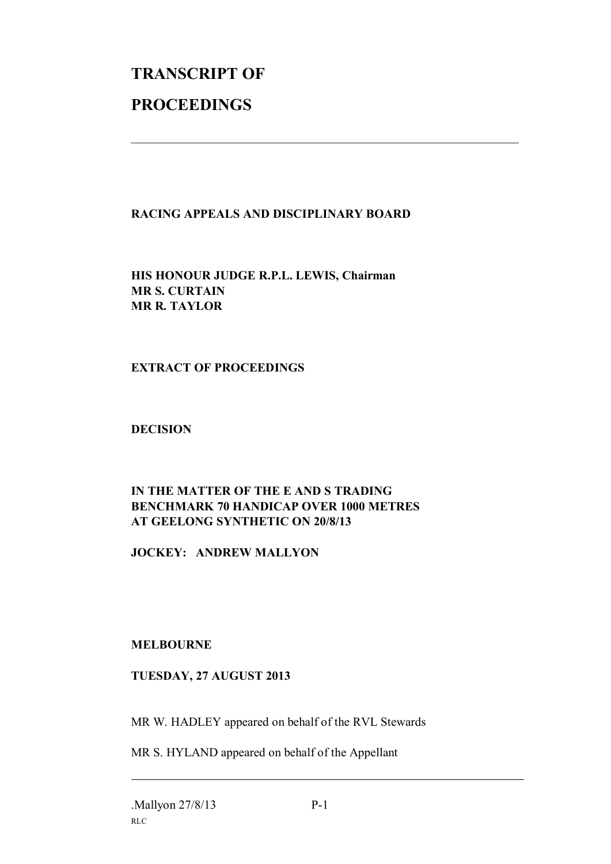# **TRANSCRIPT OF PROCEEDINGS**

#### **RACING APPEALS AND DISCIPLINARY BOARD**

 $\mathcal{L}_\text{max}$  , and the contribution of the contribution of the contribution of the contribution of the contribution of the contribution of the contribution of the contribution of the contribution of the contribution of t

**HIS HONOUR JUDGE R.P.L. LEWIS, Chairman MR S. CURTAIN MR R. TAYLOR**

#### **EXTRACT OF PROCEEDINGS**

**DECISION**

### **IN THE MATTER OF THE E AND S TRADING BENCHMARK 70 HANDICAP OVER 1000 METRES AT GEELONG SYNTHETIC ON 20/8/13**

**JOCKEY: ANDREW MALLYON**

#### **MELBOURNE**

#### **TUESDAY, 27 AUGUST 2013**

MR W. HADLEY appeared on behalf of the RVL Stewards

MR S. HYLAND appeared on behalf of the Appellant